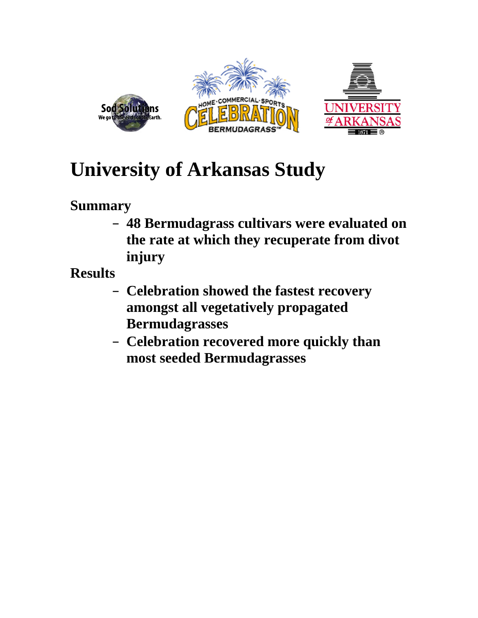

# **University of Arkansas Study**

## **Summary**

– **48 Bermudagrass cultivars were evaluated on the rate at which they recuperate from divot injury** 

**Results** 

- **Celebration showed the fastest recovery amongst all vegetatively propagated Bermudagrasses**
- **Celebration recovered more quickly than most seeded Bermudagrasses**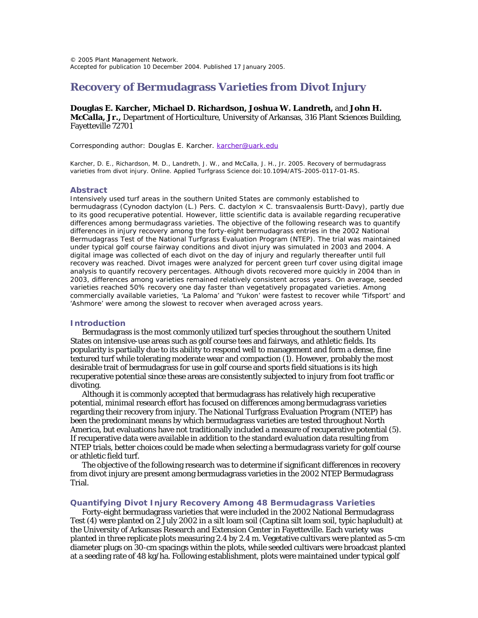### **Recovery of Bermudagrass Varieties from Divot Injury**

#### **Douglas E. Karcher, Michael D. Richardson, Joshua W. Landreth,** and **John H. McCalla, Jr.,** Department of Horticulture, University of Arkansas, 316 Plant Sciences Building, Fayetteville 72701

Corresponding author: Douglas E. Karcher. [karcher@uark.edu](mailto:karcher@uark.edu)

Karcher, D. E., Richardson, M. D., Landreth, J. W., and McCalla, J. H., Jr. 2005. Recovery of bermudagrass varieties from divot injury. Online. Applied Turfgrass Science doi:10.1094/ATS-2005-0117-01-RS.

#### **Abstract**

Intensively used turf areas in the southern United States are commonly established to bermudagrass (*Cynodon dactylon* (L.) Pers. *C. dactylon* × *C. transvaalensis* Burtt-Davy), partly due to its good recuperative potential. However, little scientific data is available regarding recuperative differences among bermudagrass varieties. The objective of the following research was to quantify differences in injury recovery among the forty-eight bermudagrass entries in the 2002 National Bermudagrass Test of the National Turfgrass Evaluation Program (NTEP). The trial was maintained under typical golf course fairway conditions and divot injury was simulated in 2003 and 2004. A digital image was collected of each divot on the day of injury and regularly thereafter until full recovery was reached. Divot images were analyzed for percent green turf cover using digital image analysis to quantify recovery percentages. Although divots recovered more quickly in 2004 than in 2003, differences among varieties remained relatively consistent across years. On average, seeded varieties reached 50% recovery one day faster than vegetatively propagated varieties. Among commercially available varieties, 'La Paloma' and 'Yukon' were fastest to recover while 'Tifsport' and 'Ashmore' were among the slowest to recover when averaged across years.

#### **Introduction**

Bermudagrass is the most commonly utilized turf species throughout the southern United States on intensive-use areas such as golf course tees and fairways, and athletic fields. Its popularity is partially due to its ability to respond well to management and form a dense, fine textured turf while tolerating moderate wear and compaction (1). However, probably the most desirable trait of bermudagrass for use in golf course and sports field situations is its high recuperative potential since these areas are consistently subjected to injury from foot traffic or divoting.

Although it is commonly accepted that bermudagrass has relatively high recuperative potential, minimal research effort has focused on differences among bermudagrass varieties regarding their recovery from injury. The National Turfgrass Evaluation Program (NTEP) has been the predominant means by which bermudagrass varieties are tested throughout North America, but evaluations have not traditionally included a measure of recuperative potential (5). If recuperative data were available in addition to the standard evaluation data resulting from NTEP trials, better choices could be made when selecting a bermudagrass variety for golf course or athletic field turf.

The objective of the following research was to determine if significant differences in recovery from divot injury are present among bermudagrass varieties in the 2002 NTEP Bermudagrass Trial.

#### **Quantifying Divot Injury Recovery Among 48 Bermudagrass Varieties**

Forty-eight bermudagrass varieties that were included in the 2002 National Bermudagrass Test (4) were planted on 2 July 2002 in a silt loam soil (Captina silt loam soil, typic hapludult) at the University of Arkansas Research and Extension Center in Fayetteville. Each variety was planted in three replicate plots measuring 2.4 by 2.4 m. Vegetative cultivars were planted as 5-cm diameter plugs on 30-cm spacings within the plots, while seeded cultivars were broadcast planted at a seeding rate of 48 kg/ha. Following establishment, plots were maintained under typical golf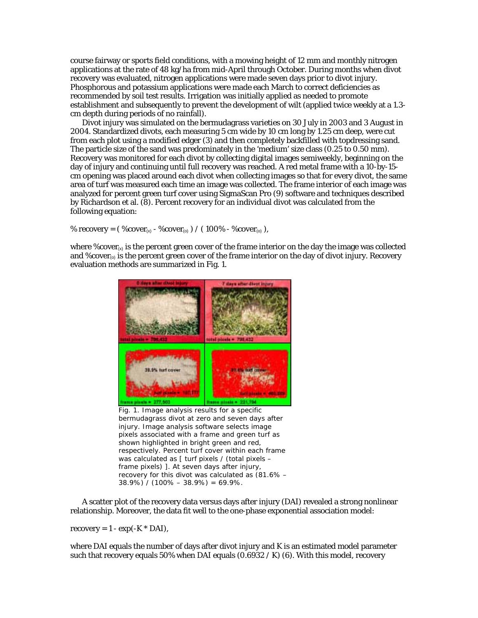course fairway or sports field conditions, with a mowing height of 12 mm and monthly nitrogen applications at the rate of 48 kg/ha from mid-April through October. During months when divot recovery was evaluated, nitrogen applications were made seven days prior to divot injury. Phosphorous and potassium applications were made each March to correct deficiencies as recommended by soil test results. Irrigation was initially applied as needed to promote establishment and subsequently to prevent the development of wilt (applied twice weekly at a 1.3 cm depth during periods of no rainfall).

Divot injury was simulated on the bermudagrass varieties on 30 July in 2003 and 3 August in 2004. Standardized divots, each measuring 5 cm wide by 10 cm long by 1.25 cm deep, were cut from each plot using a modified edger (3) and then completely backfilled with topdressing sand. The particle size of the sand was predominately in the 'medium' size class (0.25 to 0.50 mm). Recovery was monitored for each divot by collecting digital images semiweekly, beginning on the day of injury and continuing until full recovery was reached. A red metal frame with a 10-by-15 cm opening was placed around each divot when collecting images so that for every divot, the same area of turf was measured each time an image was collected. The frame interior of each image was analyzed for percent green turf cover using SigmaScan Pro (9) software and techniques described by Richardson et al. (8). Percent recovery for an individual divot was calculated from the following equation:

% recovery =  $(\%cover_{(x)} - \%cover_{(0)}) / (100\% - \%cover_{(0)}),$ 

where  $\%$ cover<sub> $\infty$ </sub> is the percent green cover of the frame interior on the day the image was collected and %cover $_{(o)}$  is the percent green cover of the frame interior on the day of divot injury. Recovery evaluation methods are summarized in Fig. 1.



bermudagrass divot at zero and seven days after injury. Image analysis software selects image pixels associated with a frame and green turf as shown highlighted in bright green and red, respectively. Percent turf cover within each frame was calculated as [ turf pixels / (total pixels frame pixels) ]. At seven days after injury, recovery for this divot was calculated as (81.6% –  $38.9\%$ ) /  $(100\% - 38.9\%) = 69.9\%$ .

A scatter plot of the recovery data versus days after injury (DAI) revealed a strong nonlinear relationship. Moreover, the data fit well to the one-phase exponential association model:

 $recovery = 1 - exp(-K * DAI),$ 

where DAI equals the number of days after divot injury and K is an estimated model parameter such that recovery equals  $50\%$  when DAI equals  $(0.6932 / K)$  (6). With this model, recovery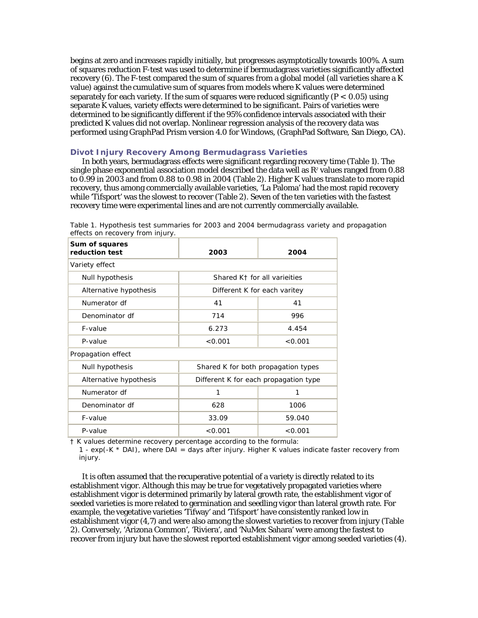begins at zero and increases rapidly initially, but progresses asymptotically towards 100%. A sum of squares reduction F-test was used to determine if bermudagrass varieties significantly affected recovery (6). The F-test compared the sum of squares from a global model (all varieties share a K value) against the cumulative sum of squares from models where K values were determined separately for each variety. If the sum of squares were reduced significantly  $(P < 0.05)$  using separate K values, variety effects were determined to be significant. Pairs of varieties were determined to be significantly different if the 95% confidence intervals associated with their predicted K values did not overlap. Nonlinear regression analysis of the recovery data was performed using GraphPad Prism version 4.0 for Windows, (GraphPad Software, San Diego, CA).

#### **Divot Injury Recovery Among Bermudagrass Varieties**

In both years, bermudagrass effects were significant regarding recovery time (Table 1). The single phase exponential association model described the data well as  $R^z$  values ranged from  $0.88$ to 0.99 in 2003 and from 0.88 to 0.98 in 2004 (Table 2). Higher K values translate to more rapid recovery, thus among commercially available varieties, 'La Paloma' had the most rapid recovery while 'Tifsport' was the slowest to recover (Table 2). Seven of the ten varieties with the fastest recovery time were experimental lines and are not currently commercially available.

| Sum of squares<br>reduction test | 2003                                     | 2004    |  |  |  |  |
|----------------------------------|------------------------------------------|---------|--|--|--|--|
| Variety effect                   |                                          |         |  |  |  |  |
| Null hypothesis                  | Shared K <sub>†</sub> for all varieities |         |  |  |  |  |
| Alternative hypothesis           | Different K for each varitey             |         |  |  |  |  |
| Numerator df                     | 41                                       | 41      |  |  |  |  |
| Denominator df                   | 714                                      | 996     |  |  |  |  |
| F-value                          | 6.273                                    | 4.454   |  |  |  |  |
| P-value                          | < 0.001                                  | < 0.001 |  |  |  |  |
| Propagation effect               |                                          |         |  |  |  |  |
| Null hypothesis                  | Shared K for both propagation types      |         |  |  |  |  |
| Alternative hypothesis           | Different K for each propagation type    |         |  |  |  |  |
| Numerator df                     | 1                                        | 1       |  |  |  |  |
| Denominator df                   | 628                                      | 1006    |  |  |  |  |
| F-value                          | 33.09                                    | 59.040  |  |  |  |  |
| P-value                          | < 0.001                                  | < 0.001 |  |  |  |  |

Table 1. Hypothesis test summaries for 2003 and 2004 bermudagrass variety and propagation effects on recovery from injury.

† K values determine recovery percentage according to the formula:

1 - exp(-K \* DAI), where DAI = days after injury. Higher K values indicate faster recovery from injury.

It is often assumed that the recuperative potential of a variety is directly related to its establishment vigor. Although this may be true for vegetatively propagated varieties where establishment vigor is determined primarily by lateral growth rate, the establishment vigor of seeded varieties is more related to germination and seedling vigor than lateral growth rate. For example, the vegetative varieties 'Tifway' and 'Tifsport' have consistently ranked low in establishment vigor (4,7) and were also among the slowest varieties to recover from injury (Table 2). Conversely, 'Arizona Common', 'Riviera', and 'NuMex Sahara' were among the fastest to recover from injury but have the slowest reported establishment vigor among seeded varieties (4).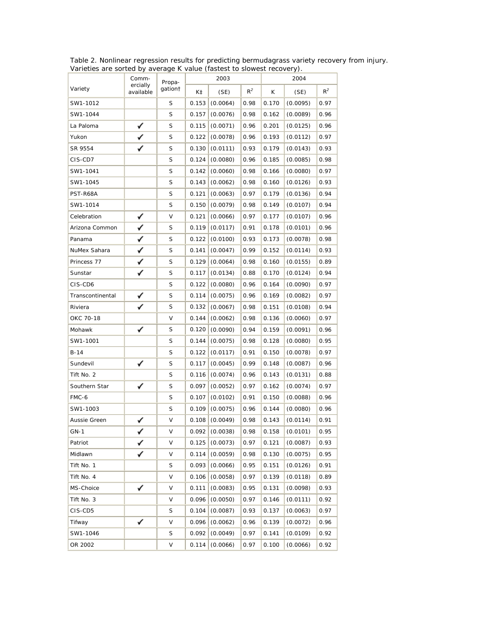| ranolios are sontou by avoidge it value (lastest to siemest receively). |                                |                    |       |                  |       |                                |          |       |
|-------------------------------------------------------------------------|--------------------------------|--------------------|-------|------------------|-------|--------------------------------|----------|-------|
| Variety                                                                 | Comm-<br>ercially<br>available | Propa-<br>gation t | 2003  |                  |       | 2004                           |          |       |
|                                                                         |                                |                    | K‡    | (SE)             | $R^2$ | K                              | (SE)     | $R^2$ |
| SW1-1012                                                                |                                | S                  | 0.153 | (0.0064)         | 0.98  | 0.170                          | (0.0095) | 0.97  |
| SW1-1044                                                                |                                | S                  | 0.157 | (0.0076)         | 0.98  | 0.162                          | (0.0089) | 0.96  |
| La Paloma                                                               |                                | $\mathsf S$        | 0.115 | (0.0071)         | 0.96  | 0.201                          | (0.0125) | 0.96  |
| Yukon                                                                   |                                | S                  | 0.122 | (0.0078)         | 0.96  | 0.193                          | (0.0112) | 0.97  |
| SR 9554                                                                 |                                | S                  | 0.130 | (0.0111)         | 0.93  | 0.179                          | (0.0143) | 0.93  |
| CIS-CD7                                                                 |                                | S                  | 0.124 | (0.0080)         | 0.96  | 0.185                          | (0.0085) | 0.98  |
| SW1-1041                                                                |                                | S                  | 0.142 | (0.0060)         | 0.98  | 0.166                          | (0.0080) | 0.97  |
| SW1-1045                                                                |                                | $\mathsf S$        | 0.143 | (0.0062)         | 0.98  | 0.160                          | (0.0126) | 0.93  |
| PST-R68A                                                                |                                | S                  | 0.121 | (0.0063)         | 0.97  | 0.179                          | (0.0136) | 0.94  |
| SW1-1014                                                                |                                | S                  | 0.150 | (0.0079)         | 0.98  | 0.149                          | (0.0107) | 0.94  |
| Celebration                                                             | ✓                              | V                  | 0.121 | (0.0066)         | 0.97  | 0.177                          | (0.0107) | 0.96  |
| Arizona Common                                                          | ✓                              | S                  | 0.119 | (0.0117)         | 0.91  | 0.178                          | (0.0101) | 0.96  |
| Panama                                                                  | ✓                              | S                  | 0.122 | (0.0100)         | 0.93  | 0.173                          | (0.0078) | 0.98  |
| NuMex Sahara                                                            | ✓                              | S                  | 0.141 | (0.0047)         | 0.99  | 0.152                          | (0.0114) | 0.93  |
| Princess 77                                                             |                                | $\mathsf S$        | 0.129 | (0.0064)         | 0.98  | 0.160                          | (0.0155) | 0.89  |
| Sunstar                                                                 |                                | S                  | 0.117 | (0.0134)         | 0.88  | 0.170                          | (0.0124) | 0.94  |
| CIS-CD6                                                                 |                                | S                  | 0.122 | (0.0080)         | 0.96  | 0.164                          | (0.0090) | 0.97  |
| Transcontinental                                                        |                                | $\mathsf S$        | 0.114 | (0.0075)         | 0.96  | 0.169                          | (0.0082) | 0.97  |
| Riviera                                                                 |                                | S                  | 0.132 | (0.0067)         | 0.98  | 0.151                          | (0.0108) | 0.94  |
| OKC 70-18                                                               |                                | V                  | 0.144 | (0.0062)         | 0.98  | 0.136                          | (0.0060) | 0.97  |
| Mohawk                                                                  | ✓                              | S                  | 0.120 | (0.0090)         | 0.94  | 0.159                          | (0.0091) | 0.96  |
| SW1-1001                                                                |                                | S                  | 0.144 | (0.0075)         | 0.98  | 0.128                          | (0.0080) | 0.95  |
| $B-14$                                                                  |                                | S                  | 0.122 | (0.0117)         | 0.91  | 0.150                          | (0.0078) | 0.97  |
| Sundevil                                                                | ✓                              | S                  | 0.117 | (0.0045)         | 0.99  | 0.148                          | (0.0087) | 0.96  |
| Tift No. 2                                                              |                                | S                  | 0.116 | (0.0074)         | 0.96  | 0.143                          | (0.0131) | 0.88  |
| Southern Star                                                           | ✓                              | S                  | 0.097 | (0.0052)         | 0.97  | 0.162                          | (0.0074) | 0.97  |
| FMC-6                                                                   |                                | $\mathsf S$        | 0.107 | (0.0102)         | 0.91  | 0.150                          | (0.0088) | 0.96  |
| SW1-1003                                                                |                                | S                  | 0.109 | (0.0075)         | 0.96  | 0.144                          | (0.0080) | 0.96  |
| Aussie Green                                                            | ✓                              | $\vee$             |       | 0.108   (0.0049) |       | $\vert 0.98 \vert 0.143 \vert$ | (0.0114) | 0.91  |
| $GN-1$                                                                  | ✓                              | V                  | 0.092 | (0.0038)         | 0.98  | 0.158                          | (0.0101) | 0.95  |
| Patriot                                                                 | ✓                              | V                  | 0.125 | (0.0073)         | 0.97  | 0.121                          | (0.0087) | 0.93  |
| Midlawn                                                                 |                                | V                  | 0.114 | (0.0059)         | 0.98  | 0.130                          | (0.0075) | 0.95  |
| Tift No. 1                                                              |                                | S                  | 0.093 | (0.0066)         | 0.95  | 0.151                          | (0.0126) | 0.91  |
| Tift No. 4                                                              |                                | V                  | 0.106 | (0.0058)         | 0.97  | 0.139                          | (0.0118) | 0.89  |
| MS-Choice                                                               |                                | V                  | 0.111 | (0.0083)         | 0.95  | 0.131                          | (0.0098) | 0.93  |
| Tift No. 3                                                              |                                | V                  | 0.096 | (0.0050)         | 0.97  | 0.146                          | (0.0111) | 0.92  |
| CIS-CD5                                                                 |                                | S                  | 0.104 | (0.0087)         | 0.93  | 0.137                          | (0.0063) | 0.97  |
| Tifway                                                                  | ✓                              | V                  | 0.096 | (0.0062)         | 0.96  | 0.139                          | (0.0072) | 0.96  |
| SW1-1046                                                                |                                | S                  | 0.092 | (0.0049)         | 0.97  | 0.141                          | (0.0109) | 0.92  |
| OR 2002                                                                 |                                | V                  |       | 0.114   (0.0066) | 0.97  | 0.100                          | (0.0066) | 0.92  |

Table 2. Nonlinear regression results for predicting bermudagrass variety recovery from injury. Varieties are sorted by average K value (fastest to slowest recovery).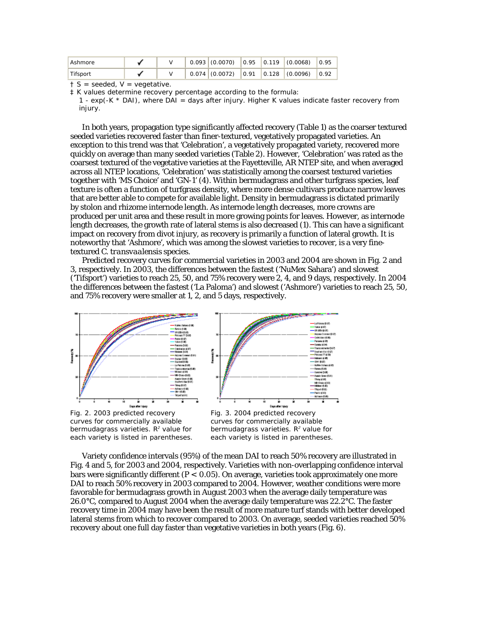| Ashmore  |  |  |  | $0.093$ (0.0070) 0.95 0.119 (0.0068) 0.95 |  |
|----------|--|--|--|-------------------------------------------|--|
| Tifsport |  |  |  | $0.074$ (0.0072) 0.91 0.128 (0.0096) 0.92 |  |

 $† S =$  seeded,  $V =$  vegetative.

‡ K values determine recovery percentage according to the formula:

1 -  $exp(-K * DAI)$ , where DAI = days after injury. Higher K values indicate faster recovery from injury.

In both years, propagation type significantly affected recovery (Table 1) as the coarser textured seeded varieties recovered faster than finer-textured, vegetatively propagated varieties. An exception to this trend was that 'Celebration', a vegetatively propagated variety, recovered more quickly on average than many seeded varieties (Table 2). However, 'Celebration' was rated as the coarsest textured of the vegetative varieties at the Fayetteville, AR NTEP site, and when averaged across all NTEP locations, 'Celebration' was statistically among the coarsest textured varieties together with 'MS Choice' and 'GN-1' (4). Within bermudagrass and other turfgrass species, leaf texture is often a function of turfgrass density, where more dense cultivars produce narrow leaves that are better able to compete for available light. Density in bermudagrass is dictated primarily by stolon and rhizome internode length. As internode length decreases, more crowns are produced per unit area and these result in more growing points for leaves. However, as internode length decreases, the growth rate of lateral stems is also decreased (1). This can have a significant impact on recovery from divot injury, as recovery is primarily a function of lateral growth. It is noteworthy that 'Ashmore', which was among the slowest varieties to recover, is a very finetextured *C. transvaalensis* species.

Predicted recovery curves for commercial varieties in 2003 and 2004 are shown in Fig. 2 and 3, respectively. In 2003, the differences between the fastest ('NuMex Sahara') and slowest ('Tifsport') varieties to reach 25, 50, and 75% recovery were 2, 4, and 9 days, respectively. In 2004 the differences between the fastest ('La Paloma') and slowest ('Ashmore') varieties to reach 25, 50, and 75% recovery were smaller at 1, 2, and 5 days, respectively.



[Fig. 2. 2003 predicted recovery](http://www.plantmanagementnetwork.org/ats/element/view.asp?ID=2256)  curves for commercially available bermudagrass varieties. R<sup>e</sup> value for each variety is listed in parentheses.



curves for commercially available bermudagrass varieties. R<sup>e</sup> value for each variety is listed in parentheses.

Variety confidence intervals (95%) of the mean DAI to reach 50% recovery are illustrated in Fig. 4 and 5, for 2003 and 2004, respectively. Varieties with non-overlapping confidence interval bars were significantly different  $(P < 0.05)$ . On average, varieties took approximately one more DAI to reach 50% recovery in 2003 compared to 2004. However, weather conditions were more favorable for bermudagrass growth in August 2003 when the average daily temperature was 26.0 $\degree$ C, compared to August 2004 when the average daily temperature was 22.2 $\degree$ C. The faster recovery time in 2004 may have been the result of more mature turf stands with better developed lateral stems from which to recover compared to 2003. On average, seeded varieties reached 50% recovery about one full day faster than vegetative varieties in both years (Fig. 6).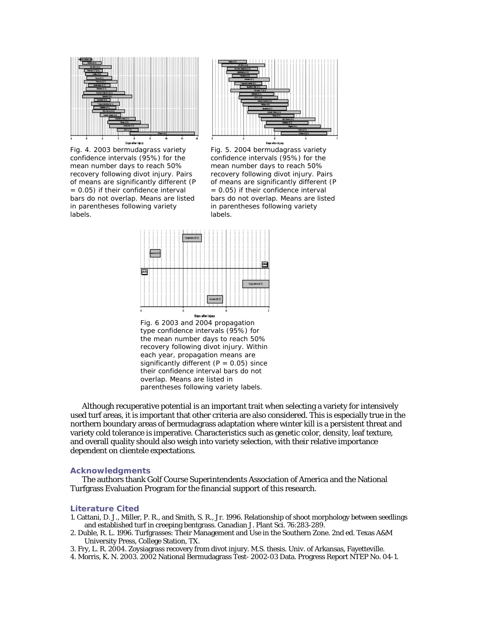

[Fig. 4. 2003 bermudagrass variety](http://www.plantmanagementnetwork.org/ats/element/view.asp?ID=2258)  confidence intervals (95%) for the mean number days to reach 50% recovery following divot injury. Pairs of means are significantly different (*P* = 0.05) if their confidence interval bars do not overlap. Means are listed in parentheses following variety labels.



Fig. 5. 2004 bermudagrass variety confidence intervals (95%) for the mean number days to reach 50% recovery following divot injury. Pairs of means are significantly different (*P* = 0.05) if their confidence interval bars do not overlap. Means are listed in parentheses following variety labels.



[Fig. 6 2003 and 2004 propagation](http://www.plantmanagementnetwork.org/ats/element/view.asp?ID=2260)  type confidence intervals (95%) for the mean number days to reach 50% recovery following divot injury. Within each year, propagation means are significantly different  $(P = 0.05)$  since their confidence interval bars do not overlap. Means are listed in parentheses following variety labels.

Although recuperative potential is an important trait when selecting a variety for intensively used turf areas, it is important that other criteria are also considered. This is especially true in the northern boundary areas of bermudagrass adaptation where winter kill is a persistent threat and variety cold tolerance is imperative. Characteristics such as genetic color, density, leaf texture, and overall quality should also weigh into variety selection, with their relative importance dependent on clientele expectations.

#### **Acknowledgments**

The authors thank Golf Course Superintendents Association of America and the National Turfgrass Evaluation Program for the financial support of this research.

#### **Literature Cited**

- 1. Cattani, D. J., Miller, P. R., and Smith, S. R., Jr. 1996. Relationship of shoot morphology between seedlings and established turf in creeping bentgrass. Canadian J. Plant Sci. 76:283-289.
- 2. Duble, R. L. 1996. Turfgrasses: Their Management and Use in the Southern Zone. 2nd ed. Texas A&M University Press, College Station, TX.
- 3. Fry, L. R. 2004. Zoysiagrass recovery from divot injury. M.S. thesis. Univ. of Arkansas, Fayetteville.
- 4. Morris, K. N. 2003. 2002 National Bermudagrass Test- 2002-03 Data. Progress Report NTEP No. 04-1.